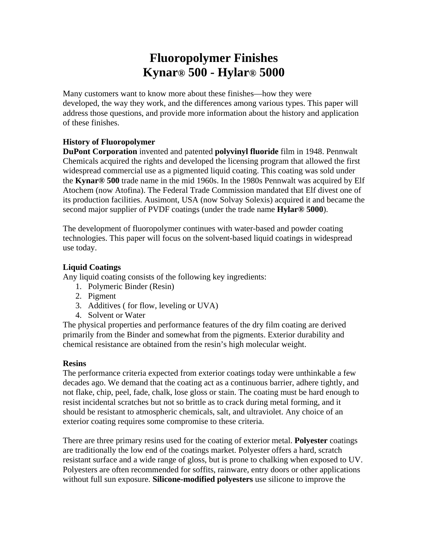# **Fluoropolymer Finishes Kynar® 500 - Hylar® 5000**

Many customers want to know more about these finishes—how they were developed, the way they work, and the differences among various types. This paper will address those questions, and provide more information about the history and application of these finishes.

### **History of Fluoropolymer**

**DuPont Corporation** invented and patented **polyvinyl fluoride** film in 1948. Pennwalt Chemicals acquired the rights and developed the licensing program that allowed the first widespread commercial use as a pigmented liquid coating. This coating was sold under the **Kynar® 500** trade name in the mid 1960s. In the 1980s Pennwalt was acquired by Elf Atochem (now Atofina). The Federal Trade Commission mandated that Elf divest one of its production facilities. Ausimont, USA (now Solvay Solexis) acquired it and became the second major supplier of PVDF coatings (under the trade name **Hylar® 5000**).

The development of fluoropolymer continues with water-based and powder coating technologies. This paper will focus on the solvent-based liquid coatings in widespread use today.

### **Liquid Coatings**

Any liquid coating consists of the following key ingredients:

- 1. Polymeric Binder (Resin)
- 2. Pigment
- 3. Additives ( for flow, leveling or UVA)
- 4. Solvent or Water

The physical properties and performance features of the dry film coating are derived primarily from the Binder and somewhat from the pigments. Exterior durability and chemical resistance are obtained from the resin's high molecular weight.

### **Resins**

The performance criteria expected from exterior coatings today were unthinkable a few decades ago. We demand that the coating act as a continuous barrier, adhere tightly, and not flake, chip, peel, fade, chalk, lose gloss or stain. The coating must be hard enough to resist incidental scratches but not so brittle as to crack during metal forming, and it should be resistant to atmospheric chemicals, salt, and ultraviolet. Any choice of an exterior coating requires some compromise to these criteria.

There are three primary resins used for the coating of exterior metal. **Polyester** coatings are traditionally the low end of the coatings market. Polyester offers a hard, scratch resistant surface and a wide range of gloss, but is prone to chalking when exposed to UV. Polyesters are often recommended for soffits, rainware, entry doors or other applications without full sun exposure. **Silicone-modified polyesters** use silicone to improve the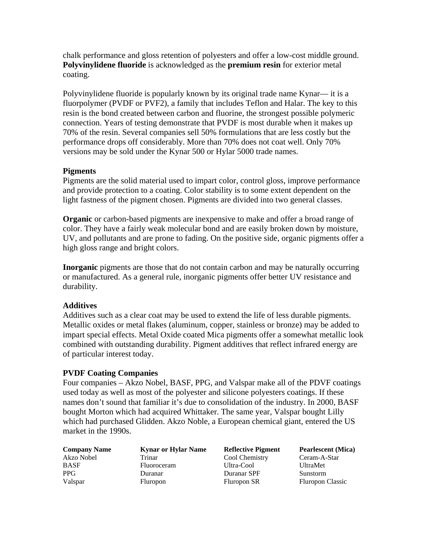chalk performance and gloss retention of polyesters and offer a low-cost middle ground. **Polyvinylidene fluoride** is acknowledged as the **premium resin** for exterior metal coating.

Polyvinylidene fluoride is popularly known by its original trade name Kynar— it is a fluorpolymer (PVDF or PVF2), a family that includes Teflon and Halar. The key to this resin is the bond created between carbon and fluorine, the strongest possible polymeric connection. Years of testing demonstrate that PVDF is most durable when it makes up 70% of the resin. Several companies sell 50% formulations that are less costly but the performance drops off considerably. More than 70% does not coat well. Only 70% versions may be sold under the Kynar 500 or Hylar 5000 trade names.

### **Pigments**

Pigments are the solid material used to impart color, control gloss, improve performance and provide protection to a coating. Color stability is to some extent dependent on the light fastness of the pigment chosen. Pigments are divided into two general classes.

**Organic** or carbon-based pigments are inexpensive to make and offer a broad range of color. They have a fairly weak molecular bond and are easily broken down by moisture, UV, and pollutants and are prone to fading. On the positive side, organic pigments offer a high gloss range and bright colors.

**Inorganic** pigments are those that do not contain carbon and may be naturally occurring or manufactured. As a general rule, inorganic pigments offer better UV resistance and durability.

### **Additives**

Additives such as a clear coat may be used to extend the life of less durable pigments. Metallic oxides or metal flakes (aluminum, copper, stainless or bronze) may be added to impart special effects. Metal Oxide coated Mica pigments offer a somewhat metallic look combined with outstanding durability. Pigment additives that reflect infrared energy are of particular interest today.

## **PVDF Coating Companies**

Four companies – Akzo Nobel, BASF, PPG, and Valspar make all of the PDVF coatings used today as well as most of the polyester and silicone polyesters coatings. If these names don't sound that familiar it's due to consolidation of the industry. In 2000, BASF bought Morton which had acquired Whittaker. The same year, Valspar bought Lilly which had purchased Glidden. Akzo Noble, a European chemical giant, entered the US market in the 1990s.

| <b>Company Name</b> | <b>Kynar or Hylar Name</b> | <b>Reflective Pigment</b> | <b>Pearlescent</b> (Mica) |
|---------------------|----------------------------|---------------------------|---------------------------|
| Akzo Nobel          | Trinar                     | Cool Chemistry            | Ceram-A-Star              |
| <b>BASF</b>         | Fluoroceram                | Ultra-Cool                | <b>UltraMet</b>           |
| <b>PPG</b>          | Duranar                    | Duranar SPF               | Sunstorm                  |
| Valspar             | <b>Fluropon</b>            | Fluropon SR               | <b>Fluropon Classic</b>   |